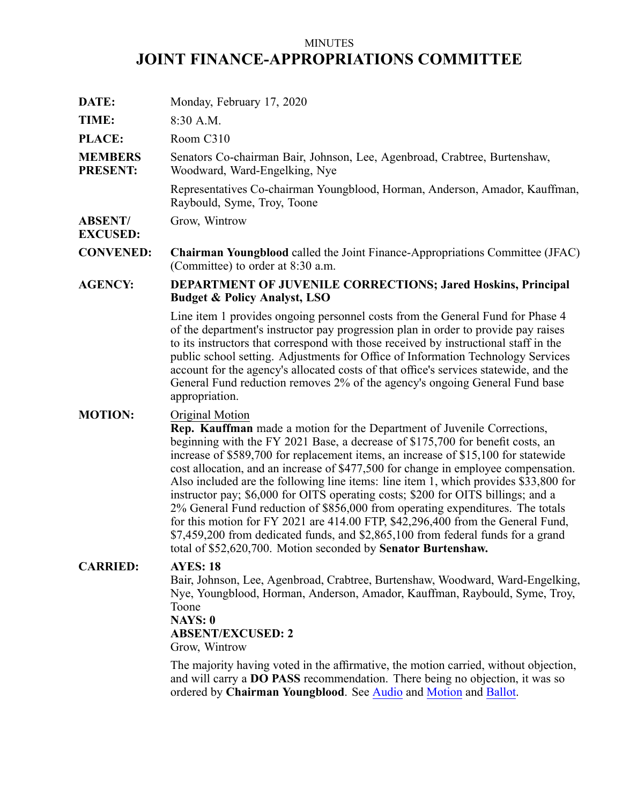# MINUTES **JOINT FINANCE-APPROPRIATIONS COMMITTEE**

| DATE:                             | Monday, February 17, 2020                                                                                                                                                                                                                                                                                                                                                                                                                                                                                                                                                                                                                                                                                                                                                                                                                                      |
|-----------------------------------|----------------------------------------------------------------------------------------------------------------------------------------------------------------------------------------------------------------------------------------------------------------------------------------------------------------------------------------------------------------------------------------------------------------------------------------------------------------------------------------------------------------------------------------------------------------------------------------------------------------------------------------------------------------------------------------------------------------------------------------------------------------------------------------------------------------------------------------------------------------|
| TIME:                             | 8:30 A.M.                                                                                                                                                                                                                                                                                                                                                                                                                                                                                                                                                                                                                                                                                                                                                                                                                                                      |
| PLACE:                            | Room C310                                                                                                                                                                                                                                                                                                                                                                                                                                                                                                                                                                                                                                                                                                                                                                                                                                                      |
| <b>MEMBERS</b><br><b>PRESENT:</b> | Senators Co-chairman Bair, Johnson, Lee, Agenbroad, Crabtree, Burtenshaw,<br>Woodward, Ward-Engelking, Nye                                                                                                                                                                                                                                                                                                                                                                                                                                                                                                                                                                                                                                                                                                                                                     |
|                                   | Representatives Co-chairman Youngblood, Horman, Anderson, Amador, Kauffman,<br>Raybould, Syme, Troy, Toone                                                                                                                                                                                                                                                                                                                                                                                                                                                                                                                                                                                                                                                                                                                                                     |
| <b>ABSENT/</b><br><b>EXCUSED:</b> | Grow, Wintrow                                                                                                                                                                                                                                                                                                                                                                                                                                                                                                                                                                                                                                                                                                                                                                                                                                                  |
| <b>CONVENED:</b>                  | <b>Chairman Youngblood</b> called the Joint Finance-Appropriations Committee (JFAC)<br>(Committee) to order at 8:30 a.m.                                                                                                                                                                                                                                                                                                                                                                                                                                                                                                                                                                                                                                                                                                                                       |
| <b>AGENCY:</b>                    | <b>DEPARTMENT OF JUVENILE CORRECTIONS; Jared Hoskins, Principal</b><br><b>Budget &amp; Policy Analyst, LSO</b>                                                                                                                                                                                                                                                                                                                                                                                                                                                                                                                                                                                                                                                                                                                                                 |
|                                   | Line item 1 provides ongoing personnel costs from the General Fund for Phase 4<br>of the department's instructor pay progression plan in order to provide pay raises<br>to its instructors that correspond with those received by instructional staff in the<br>public school setting. Adjustments for Office of Information Technology Services<br>account for the agency's allocated costs of that office's services statewide, and the<br>General Fund reduction removes 2% of the agency's ongoing General Fund base<br>appropriation.                                                                                                                                                                                                                                                                                                                     |
| <b>MOTION:</b>                    | Original Motion<br>Rep. Kauffman made a motion for the Department of Juvenile Corrections,<br>beginning with the FY 2021 Base, a decrease of \$175,700 for benefit costs, an<br>increase of \$589,700 for replacement items, an increase of \$15,100 for statewide<br>cost allocation, and an increase of \$477,500 for change in employee compensation.<br>Also included are the following line items: line item 1, which provides \$33,800 for<br>instructor pay; \$6,000 for OITS operating costs; \$200 for OITS billings; and a<br>2% General Fund reduction of \$856,000 from operating expenditures. The totals<br>for this motion for FY 2021 are 414.00 FTP, \$42,296,400 from the General Fund,<br>\$7,459,200 from dedicated funds, and \$2,865,100 from federal funds for a grand<br>total of \$52,620,700. Motion seconded by Senator Burtenshaw. |
| <b>CARRIED:</b>                   | <b>AYES: 18</b><br>Bair, Johnson, Lee, Agenbroad, Crabtree, Burtenshaw, Woodward, Ward-Engelking,<br>Nye, Youngblood, Horman, Anderson, Amador, Kauffman, Raybould, Syme, Troy,<br>Toone<br>NAYS: 0<br><b>ABSENT/EXCUSED: 2</b><br>Grow, Wintrow<br>The majority having voted in the affirmative, the motion carried, without objection,<br>and will carry a DO PASS recommendation. There being no objection, it was so                                                                                                                                                                                                                                                                                                                                                                                                                                       |
|                                   | ordered by Chairman Youngblood. See Audio and Motion and Ballot.                                                                                                                                                                                                                                                                                                                                                                                                                                                                                                                                                                                                                                                                                                                                                                                               |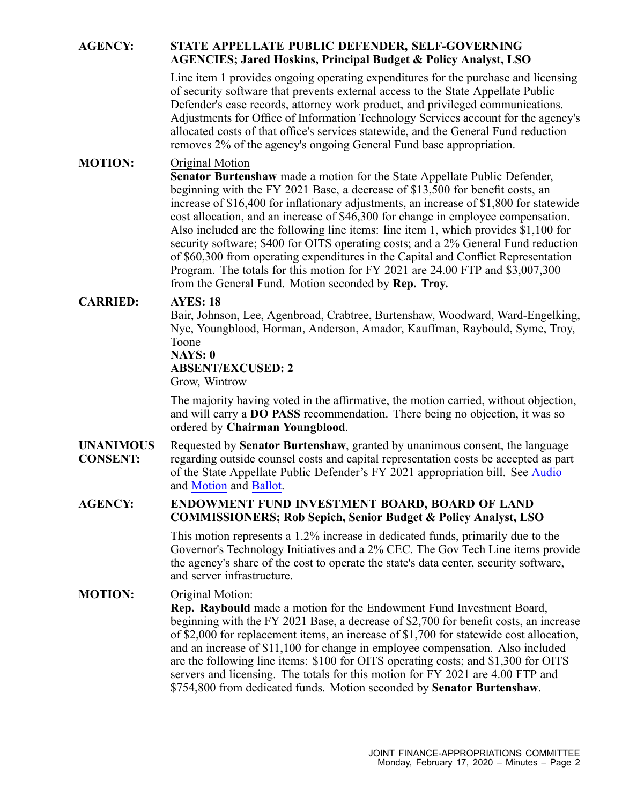### **AGENCY: STATE APPELLATE PUBLIC DEFENDER, SELF-GOVERNING AGENCIES; Jared Hoskins, Principal Budget & Policy Analyst, LSO**

Line item 1 provides ongoing operating expenditures for the purchase and licensing of security software that prevents external access to the State Appellate Public Defender's case records, attorney work product, and privileged communications. Adjustments for Office of Information Technology Services account for the agency's allocated costs of that office's services statewide, and the General Fund reduction removes 2% of the agency's ongoing General Fund base appropriation.

## **MOTION:** Original Motion

**Senator Burtenshaw** made <sup>a</sup> motion for the State Appellate Public Defender, beginning with the FY 2021 Base, <sup>a</sup> decrease of \$13,500 for benefit costs, an increase of \$16,400 for inflationary adjustments, an increase of \$1,800 for statewide cost allocation, and an increase of \$46,300 for change in employee compensation. Also included are the following line items: line item 1, which provides \$1,100 for security software; \$400 for OITS operating costs; and <sup>a</sup> 2% General Fund reduction of \$60,300 from operating expenditures in the Capital and Conflict Representation Program. The totals for this motion for FY 2021 are 24.00 FTP and \$3,007,300 from the General Fund. Motion seconded by **Rep. Troy.**

### **CARRIED: AYES: 18**

Bair, Johnson, Lee, Agenbroad, Crabtree, Burtenshaw, Woodward, Ward-Engelking, Nye, Youngblood, Horman, Anderson, Amador, Kauffman, Raybould, Syme, Troy, Toone

#### **NAYS: 0**

**ABSENT/EXCUSED: 2**

Grow, Wintrow

The majority having voted in the affirmative, the motion carried, without objection, and will carry <sup>a</sup> **DO PASS** recommendation. There being no objection, it was so ordered by **Chairman Youngblood**.

**UNANIMOUS CONSENT:** Requested by **Senator Burtenshaw**, granted by unanimous consent, the language regarding outside counsel costs and capital representation costs be accepted as par<sup>t</sup> of the State Appellate Public Defender's FY 2021 appropriation bill. See [Audio](https://legislature.idaho.gov/wp-content/uploads/budget/JFAC/sessionrecord/2020/6.Economic Development/Self-Governing Agencies/State Appellate Public Defender/~Budget Setting/February 17, 2020/A.Audio.mp3?1581970270) and [Motion](https://legislature.idaho.gov/wp-content/uploads/budget/JFAC/sessionrecord/2020/6.Economic Development/Self-Governing Agencies/State Appellate Public Defender/~Budget Setting/February 17, 2020/A.Motion.pdf?1581970270) and [Ballot](https://legislature.idaho.gov/wp-content/uploads/budget/JFAC/sessionrecord/2020/6.Economic Development/Self-Governing Agencies/State Appellate Public Defender/~Budget Setting/February 17, 2020/A.Ballot.pdf?1581970270).

#### **AGENCY: ENDOWMENT FUND INVESTMENT BOARD, BOARD OF LAND COMMISSIONERS; Rob Sepich, Senior Budget & Policy Analyst, LSO**

This motion represents <sup>a</sup> 1.2% increase in dedicated funds, primarily due to the Governor's Technology Initiatives and <sup>a</sup> 2% CEC. The Gov Tech Line items provide the agency's share of the cost to operate the state's data center, security software, and server infrastructure.

### **MOTION:** Original Motion:

**Rep. Raybould** made <sup>a</sup> motion for the Endowment Fund Investment Board, beginning with the FY 2021 Base, <sup>a</sup> decrease of \$2,700 for benefit costs, an increase of \$2,000 for replacement items, an increase of \$1,700 for statewide cost allocation, and an increase of \$11,100 for change in employee compensation. Also included are the following line items: \$100 for OITS operating costs; and \$1,300 for OITS servers and licensing. The totals for this motion for FY 2021 are 4.00 FTP and \$754,800 from dedicated funds. Motion seconded by **Senator Burtenshaw**.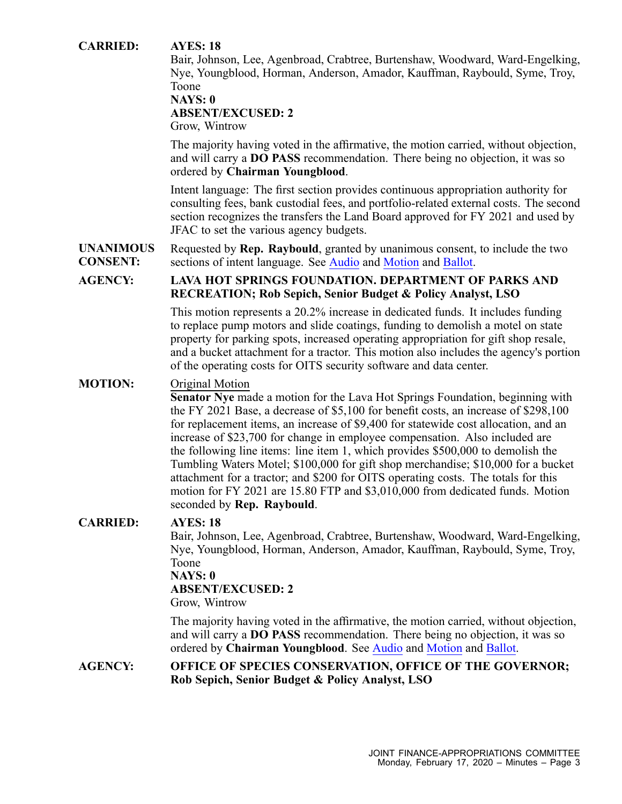### **CARRIED: AYES: 18**

Bair, Johnson, Lee, Agenbroad, Crabtree, Burtenshaw, Woodward, Ward-Engelking, Nye, Youngblood, Horman, Anderson, Amador, Kauffman, Raybould, Syme, Troy, Toone

#### **NAYS: 0**

#### **ABSENT/EXCUSED: 2**

Grow, Wintrow

The majority having voted in the affirmative, the motion carried, without objection, and will carry <sup>a</sup> **DO PASS** recommendation. There being no objection, it was so ordered by **Chairman Youngblood**.

Intent language: The first section provides continuous appropriation authority for consulting fees, bank custodial fees, and portfolio-related external costs. The second section recognizes the transfers the Land Board approved for FY 2021 and used by JFAC to set the various agency budgets.

**UNANIMOUS CONSENT:** Requested by **Rep. Raybould**, granted by unanimous consent, to include the two sections of intent language. See [Audio](https://legislature.idaho.gov/wp-content/uploads/budget/JFAC/sessionrecord/2020/5.Natural Resources/Land, Board of Commissioners/Investment Board, Endowment Fund/~Budget Setting/February 17, 2020/A.Audio.mp3?1581970270) and [Motion](https://legislature.idaho.gov/wp-content/uploads/budget/JFAC/sessionrecord/2020/5.Natural Resources/Land, Board of Commissioners/Investment Board, Endowment Fund/~Budget Setting/February 17, 2020/A.Motion.pdf?1581970270) and [Ballot](https://legislature.idaho.gov/wp-content/uploads/budget/JFAC/sessionrecord/2020/5.Natural Resources/Land, Board of Commissioners/Investment Board, Endowment Fund/~Budget Setting/February 17, 2020/A.Ballot.pdf?1581970270).

### **AGENCY: LAVA HOT SPRINGS FOUNDATION. DEPARTMENT OF PARKS AND RECREATION; Rob Sepich, Senior Budget & Policy Analyst, LSO**

This motion represents <sup>a</sup> 20.2% increase in dedicated funds. It includes funding to replace pump motors and slide coatings, funding to demolish <sup>a</sup> motel on state property for parking spots, increased operating appropriation for gift shop resale, and <sup>a</sup> bucket attachment for <sup>a</sup> tractor. This motion also includes the agency's portion of the operating costs for OITS security software and data center.

#### **MOTION:** Original Motion

**Senator Nye** made <sup>a</sup> motion for the Lava Hot Springs Foundation, beginning with the FY 2021 Base, <sup>a</sup> decrease of \$5,100 for benefit costs, an increase of \$298,100 for replacement items, an increase of \$9,400 for statewide cost allocation, and an increase of \$23,700 for change in employee compensation. Also included are the following line items: line item 1, which provides \$500,000 to demolish the Tumbling Waters Motel; \$100,000 for gift shop merchandise; \$10,000 for <sup>a</sup> bucket attachment for <sup>a</sup> tractor; and \$200 for OITS operating costs. The totals for this motion for FY 2021 are 15.80 FTP and \$3,010,000 from dedicated funds. Motion seconded by **Rep. Raybould**.

#### **CARRIED: AYES: 18**

Bair, Johnson, Lee, Agenbroad, Crabtree, Burtenshaw, Woodward, Ward-Engelking, Nye, Youngblood, Horman, Anderson, Amador, Kauffman, Raybould, Syme, Troy, Toone

#### **NAYS: 0**

#### **ABSENT/EXCUSED: 2**

Grow, Wintrow

The majority having voted in the affirmative, the motion carried, without objection, and will carry <sup>a</sup> **DO PASS** recommendation. There being no objection, it was so ordered by **Chairman Youngblood**. See [Audio](https://legislature.idaho.gov/wp-content/uploads/budget/JFAC/sessionrecord/2020/5.Natural Resources/Parks and Recreation, Department of/Lava Hot Springs Foundation/~Budget Setting/February 17, 2020/A.Audio.mp3?1581970270) and [Motion](https://legislature.idaho.gov/wp-content/uploads/budget/JFAC/sessionrecord/2020/7.General Government/Governor, Office of the/Species Conservation, Office of/~Budget Setting/February 17, 2020/A.Motion.pdf?1581970270) and [Ballot](https://legislature.idaho.gov/wp-content/uploads/budget/JFAC/sessionrecord/2020/5.Natural Resources/Parks and Recreation, Department of/Lava Hot Springs Foundation/~Budget Setting/February 17, 2020/A.Ballot.pdf?1581970270).

### **AGENCY: OFFICE OF SPECIES CONSERVATION, OFFICE OF THE GOVERNOR; Rob Sepich, Senior Budget & Policy Analyst, LSO**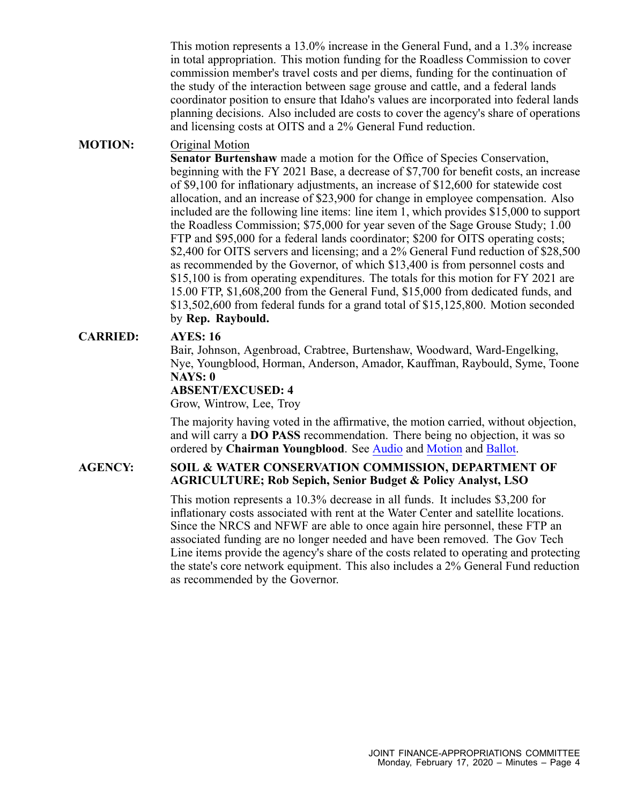This motion represents <sup>a</sup> 13.0% increase in the General Fund, and <sup>a</sup> 1.3% increase in total appropriation. This motion funding for the Roadless Commission to cover commission member's travel costs and per diems, funding for the continuation of the study of the interaction between sage grouse and cattle, and <sup>a</sup> federal lands coordinator position to ensure that Idaho's values are incorporated into federal lands planning decisions. Also included are costs to cover the agency's share of operations and licensing costs at OITS and <sup>a</sup> 2% General Fund reduction.

### **MOTION:** Original Motion

**Senator Burtenshaw** made <sup>a</sup> motion for the Office of Species Conservation, beginning with the FY 2021 Base, <sup>a</sup> decrease of \$7,700 for benefit costs, an increase of \$9,100 for inflationary adjustments, an increase of \$12,600 for statewide cost allocation, and an increase of \$23,900 for change in employee compensation. Also included are the following line items: line item 1, which provides \$15,000 to suppor<sup>t</sup> the Roadless Commission; \$75,000 for year seven of the Sage Grouse Study; 1.00 FTP and \$95,000 for <sup>a</sup> federal lands coordinator; \$200 for OITS operating costs; \$2,400 for OITS servers and licensing; and a 2% General Fund reduction of \$28,500 as recommended by the Governor, of which \$13,400 is from personnel costs and \$15,100 is from operating expenditures. The totals for this motion for FY 2021 are 15.00 FTP, \$1,608,200 from the General Fund, \$15,000 from dedicated funds, and \$13,502,600 from federal funds for <sup>a</sup> grand total of \$15,125,800. Motion seconded by **Rep. Raybould.**

### **CARRIED: AYES: 16**

Bair, Johnson, Agenbroad, Crabtree, Burtenshaw, Woodward, Ward-Engelking, Nye, Youngblood, Horman, Anderson, Amador, Kauffman, Raybould, Syme, Toone **NAYS: 0**

# **ABSENT/EXCUSED: 4**

Grow, Wintrow, Lee, Troy

The majority having voted in the affirmative, the motion carried, without objection, and will carry <sup>a</sup> **DO PASS** recommendation. There being no objection, it was so ordered by **Chairman Youngblood**. See [Audio](https://legislature.idaho.gov/wp-content/uploads/budget/JFAC/sessionrecord/2020/7.General Government/Governor, Office of the/Species Conservation, Office of/~Budget Setting/February 17, 2020/A.Audio.mp3?1581970270) and [Motion](https://legislature.idaho.gov/wp-content/uploads/budget/JFAC/sessionrecord/2020/7.General Government/Governor, Office of the/Species Conservation, Office of/~Budget Setting/February 17, 2020/A.Motion.pdf?1581970270) and [Ballot](https://legislature.idaho.gov/wp-content/uploads/budget/JFAC/sessionrecord/2020/7.General Government/Governor, Office of the/Species Conservation, Office of/~Budget Setting/February 17, 2020/A.Ballot.pdf?1581970270).

### **AGENCY: SOIL & WATER CONSERVATION COMMISSION, DEPARTMENT OF AGRICULTURE; Rob Sepich, Senior Budget & Policy Analyst, LSO**

This motion represents <sup>a</sup> 10.3% decrease in all funds. It includes \$3,200 for inflationary costs associated with rent at the Water Center and satellite locations. Since the NRCS and NFWF are able to once again hire personnel, these FTP an associated funding are no longer needed and have been removed. The Gov Tech Line items provide the agency's share of the costs related to operating and protecting the state's core network equipment. This also includes <sup>a</sup> 2% General Fund reduction as recommended by the Governor.